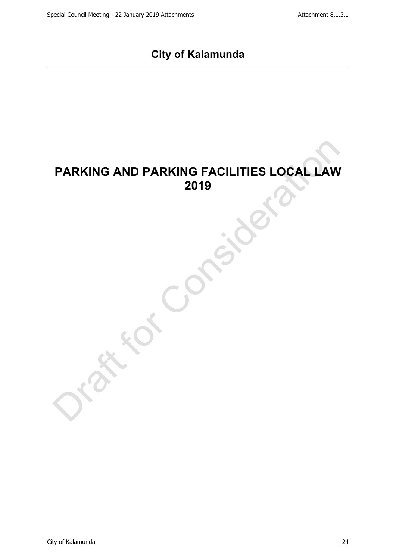# **City of Kalamunda**

# **PARKING AND PARKING FACILITIES LOCAL LAW 2019**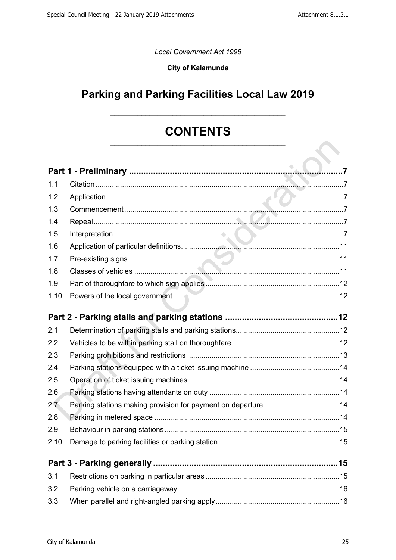*Local Government Act 1995*

#### **City of Kalamunda**

# **Parking and Parking Facilities Local Law 2019**

## **CONTENTS** \_\_\_\_\_\_\_\_\_\_\_\_\_\_\_\_\_\_\_\_\_\_\_\_\_\_\_\_\_\_\_\_\_\_\_\_\_\_\_\_\_\_\_\_\_

\_\_\_\_\_\_\_\_\_\_\_\_\_\_\_\_\_\_\_\_\_\_\_\_\_\_\_\_\_\_\_\_\_\_\_\_\_\_\_\_\_\_\_\_\_

| 1.1  |  |
|------|--|
| 1.2  |  |
| 1.3  |  |
| 1.4  |  |
| 1.5  |  |
| 1.6  |  |
| 1.7  |  |
| 1.8  |  |
| 1.9  |  |
| 1.10 |  |
|      |  |
|      |  |
| 2.1  |  |
| 2.2  |  |
| 2.3  |  |
| 2.4  |  |
| 2.5  |  |
| 2.6  |  |
| 2.7  |  |
| 2.8  |  |
| 2.9  |  |
| 2.10 |  |
|      |  |
| 3.1  |  |
| 3.2  |  |
| 3.3  |  |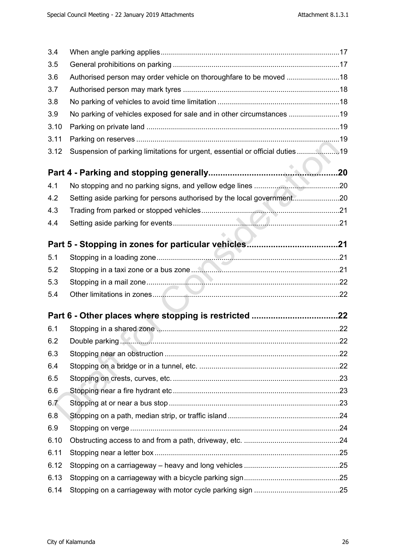| 3.4  |                                                                              |  |
|------|------------------------------------------------------------------------------|--|
| 3.5  |                                                                              |  |
| 3.6  | Authorised person may order vehicle on thoroughfare to be moved 18           |  |
| 3.7  |                                                                              |  |
| 3.8  |                                                                              |  |
| 3.9  | No parking of vehicles exposed for sale and in other circumstances 19        |  |
| 3.10 |                                                                              |  |
| 3.11 |                                                                              |  |
| 3.12 | Suspension of parking limitations for urgent, essential or official duties19 |  |
|      |                                                                              |  |
|      |                                                                              |  |
| 4.1  |                                                                              |  |
| 4.2  | Setting aside parking for persons authorised by the local government20       |  |
| 4.3  |                                                                              |  |
| 4.4  |                                                                              |  |
|      |                                                                              |  |
| 5.1  |                                                                              |  |
| 5.2  |                                                                              |  |
| 5.3  |                                                                              |  |
| 5.4  |                                                                              |  |
|      |                                                                              |  |
|      |                                                                              |  |
| 6.1  |                                                                              |  |
| 6.2  |                                                                              |  |
| 6.3  |                                                                              |  |
| 6.4  |                                                                              |  |
| 6.5  |                                                                              |  |
| 6.6  |                                                                              |  |
| 6.7  |                                                                              |  |
| 6.8  |                                                                              |  |
| 6.9  |                                                                              |  |
| 6.10 |                                                                              |  |
| 6.11 |                                                                              |  |
| 6.12 |                                                                              |  |
| 6.13 |                                                                              |  |
| 6.14 |                                                                              |  |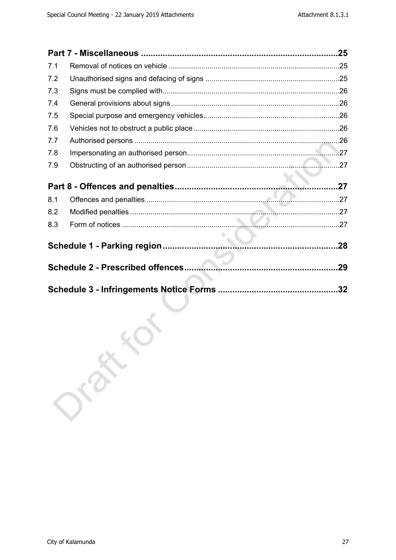|     |       | .25 |
|-----|-------|-----|
| 7.1 |       |     |
| 7.2 |       |     |
| 7.3 |       |     |
| 7.4 |       |     |
| 7.5 |       |     |
| 7.6 |       |     |
| 7.7 |       |     |
| 7.8 |       |     |
| 7.9 |       |     |
|     |       |     |
|     |       |     |
| 8.1 |       |     |
| 8.2 |       |     |
| 8.3 |       |     |
|     |       |     |
|     |       |     |
|     |       |     |
|     |       |     |
|     |       |     |
|     |       |     |
|     |       |     |
|     |       |     |
|     | orany |     |
|     |       |     |
|     |       |     |
|     |       |     |
|     |       |     |
|     |       |     |
|     |       |     |
|     |       |     |
|     |       |     |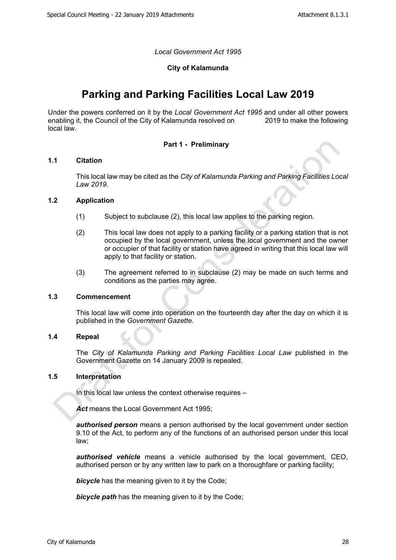*Local Government Act 1995*

#### **City of Kalamunda**

## **Parking and Parking Facilities Local Law 2019**

Under the powers conferred on it by the *Local Government Act 1995* and under all other powers enabling it, the Council of the City of Kalamunda resolved on local law.

#### <span id="page-4-0"></span>**Part 1 - Preliminary**

#### <span id="page-4-1"></span>**1.1 Citation**

This local law may be cited as the *City of Kalamunda Parking and Parking Facilities Local Law 2019*.

#### <span id="page-4-2"></span>**1.2 Application**

- (1) Subject to subclause (2), this local law applies to the parking region.
- (2) This local law does not apply to a parking facility or a parking station that is not occupied by the local government, unless the local government and the owner or occupier of that facility or station have agreed in writing that this local law will apply to that facility or station.
- (3) The agreement referred to in subclause (2) may be made on such terms and conditions as the parties may agree.

#### <span id="page-4-3"></span>**1.3 Commencement**

This local law will come into operation on the fourteenth day after the day on which it is published in the *Government Gazette*.

#### <span id="page-4-4"></span>**1.4 Repeal**

The *City of Kalamunda Parking and Parking Facilities Local Law* published in the Government Gazette on 14 January 2009 is repealed.

#### <span id="page-4-5"></span>**1.5 Interpretation**

In this local law unless the context otherwise requires –

*Act* means the Local Government Act 1995;

*authorised person* means a person authorised by the local government under section 9.10 of the Act, to perform any of the functions of an authorised person under this local law;

*authorised vehicle* means a vehicle authorised by the local government, CEO, authorised person or by any written law to park on a thoroughfare or parking facility;

**bicycle** has the meaning given to it by the Code;

*bicycle path* has the meaning given to it by the Code;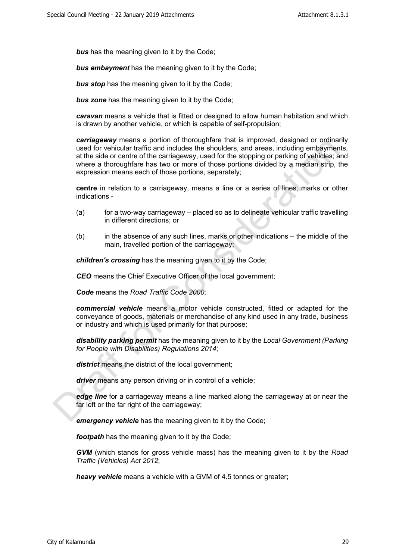**bus** has the meaning given to it by the Code;

*bus embayment* has the meaning given to it by the Code;

**bus stop** has the meaning given to it by the Code;

**bus zone** has the meaning given to it by the Code;

*caravan* means a vehicle that is fitted or designed to allow human habitation and which is drawn by another vehicle, or which is capable of self-propulsion;

*carriageway* means a portion of thoroughfare that is improved, designed or ordinarily used for vehicular traffic and includes the shoulders, and areas, including embayments, at the side or centre of the carriageway, used for the stopping or parking of vehicles; and where a thoroughfare has two or more of those portions divided by a median strip, the expression means each of those portions, separately;

**centre** in relation to a carriageway, means a line or a series of lines, marks or other indications -

- (a) for a two-way carriageway placed so as to delineate vehicular traffic travelling in different directions; or
- (b) in the absence of any such lines, marks or other indications the middle of the main, travelled portion of the carriageway;

*children's crossing* has the meaning given to it by the Code;

**CEO** means the Chief Executive Officer of the local government;

*Code* means the *Road Traffic Code 2000*;

*commercial vehicle* means a motor vehicle constructed, fitted or adapted for the conveyance of goods, materials or merchandise of any kind used in any trade, business or industry and which is used primarily for that purpose;

*disability parking permit* has the meaning given to it by the *Local Government (Parking for People with Disabilities) Regulations 2014*;

*district* means the district of the local government;

*driver* means any person driving or in control of a vehicle;

*edge line* for a carriageway means a line marked along the carriageway at or near the far left or the far right of the carriageway;

*emergency vehicle* has the meaning given to it by the Code;

*footpath* has the meaning given to it by the Code:

*GVM* (which stands for gross vehicle mass) has the meaning given to it by the *Road Traffic (Vehicles) Act 2012*;

*heavy vehicle* means a vehicle with a GVM of 4.5 tonnes or greater;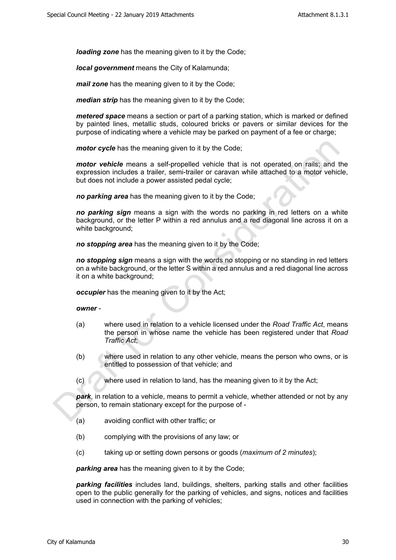*loading zone* has the meaning given to it by the Code;

*local government* means the City of Kalamunda;

*mail zone* has the meaning given to it by the Code;

*median strip* has the meaning given to it by the Code;

*metered space* means a section or part of a parking station, which is marked or defined by painted lines, metallic studs, coloured bricks or pavers or similar devices for the purpose of indicating where a vehicle may be parked on payment of a fee or charge;

*motor cycle* has the meaning given to it by the Code;

*motor vehicle* means a self-propelled vehicle that is not operated on rails; and the expression includes a trailer, semi-trailer or caravan while attached to a motor vehicle, but does not include a power assisted pedal cycle;

*no parking area* has the meaning given to it by the Code;

*no parking sign* means a sign with the words no parking in red letters on a white background, or the letter P within a red annulus and a red diagonal line across it on a white background;

*no stopping area* has the meaning given to it by the Code;

*no stopping sign* means a sign with the words no stopping or no standing in red letters on a white background, or the letter S within a red annulus and a red diagonal line across it on a white background;

*occupier* has the meaning given to it by the Act;

*owner* -

- (a) where used in relation to a vehicle licensed under the *Road Traffic Act*, means the person in whose name the vehicle has been registered under that *Road Traffic Act*;
- (b) where used in relation to any other vehicle, means the person who owns, or is entitled to possession of that vehicle; and
- (c) where used in relation to land, has the meaning given to it by the Act;

*park*, in relation to a vehicle, means to permit a vehicle, whether attended or not by any person, to remain stationary except for the purpose of -

- (a) avoiding conflict with other traffic; or
- (b) complying with the provisions of any law; or
- (c) taking up or setting down persons or goods (*maximum of 2 minutes*);

*parking area* has the meaning given to it by the Code;

*parking facilities* includes land, buildings, shelters, parking stalls and other facilities open to the public generally for the parking of vehicles, and signs, notices and facilities used in connection with the parking of vehicles;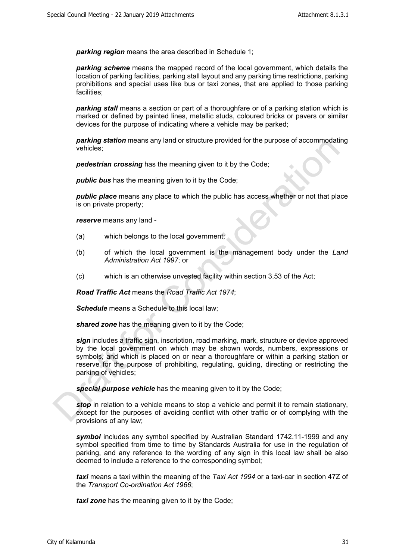*parking region* means the area described in Schedule 1;

*parking scheme* means the mapped record of the local government, which details the location of parking facilities, parking stall layout and any parking time restrictions, parking prohibitions and special uses like bus or taxi zones, that are applied to those parking facilities;

*parking stall* means a section or part of a thoroughfare or of a parking station which is marked or defined by painted lines, metallic studs, coloured bricks or pavers or similar devices for the purpose of indicating where a vehicle may be parked;

*parking station* means any land or structure provided for the purpose of accommodating vehicles;

*pedestrian crossing* has the meaning given to it by the Code;

**public bus** has the meaning given to it by the Code;

*public place* means any place to which the public has access whether or not that place is on private property;

*reserve* means any land -

- (a) which belongs to the local government;
- (b) of which the local government is the management body under the *Land Administration Act 1997*; or
- (c) which is an otherwise unvested facility within section 3.53 of the Act;

*Road Traffic Act* means the *Road Traffic Act 1974*;

*Schedule* means a Schedule to this local law;

*shared zone* has the meaning given to it by the Code:

*sign* includes a traffic sign, inscription, road marking, mark, structure or device approved by the local government on which may be shown words, numbers, expressions or symbols, and which is placed on or near a thoroughfare or within a parking station or reserve for the purpose of prohibiting, regulating, guiding, directing or restricting the parking of vehicles;

*special purpose vehicle* has the meaning given to it by the Code;

*stop* in relation to a vehicle means to stop a vehicle and permit it to remain stationary, except for the purposes of avoiding conflict with other traffic or of complying with the provisions of any law;

*symbol* includes any symbol specified by Australian Standard 1742.11-1999 and any symbol specified from time to time by Standards Australia for use in the regulation of parking, and any reference to the wording of any sign in this local law shall be also deemed to include a reference to the corresponding symbol;

*taxi* means a taxi within the meaning of the *Taxi Act 1994* or a taxi-car in section 47Z of the *Transport Co-ordination Act 1966*;

*taxi zone* has the meaning given to it by the Code;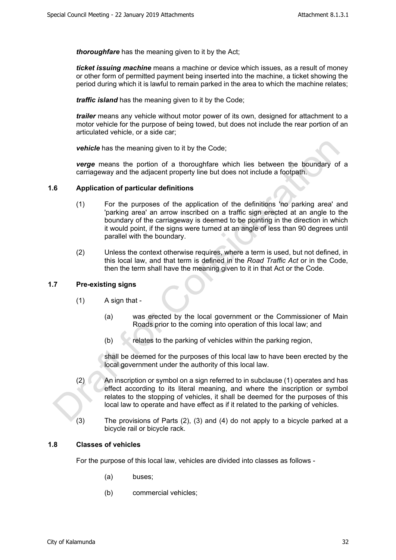*thoroughfare* has the meaning given to it by the Act;

*ticket issuing machine* means a machine or device which issues, as a result of money or other form of permitted payment being inserted into the machine, a ticket showing the period during which it is lawful to remain parked in the area to which the machine relates;

*traffic island* has the meaning given to it by the Code;

*trailer* means any vehicle without motor power of its own, designed for attachment to a motor vehicle for the purpose of being towed, but does not include the rear portion of an articulated vehicle, or a side car;

*vehicle* has the meaning given to it by the Code;

*verge* means the portion of a thoroughfare which lies between the boundary of a carriageway and the adjacent property line but does not include a footpath.

#### <span id="page-8-0"></span>**1.6 Application of particular definitions**

- (1) For the purposes of the application of the definitions 'no parking area' and 'parking area' an arrow inscribed on a traffic sign erected at an angle to the boundary of the carriageway is deemed to be pointing in the direction in which it would point, if the signs were turned at an angle of less than 90 degrees until parallel with the boundary.
- (2) Unless the context otherwise requires, where a term is used, but not defined, in this local law, and that term is defined in the *Road Traffic Act* or in the Code, then the term shall have the meaning given to it in that Act or the Code.

#### <span id="page-8-1"></span>**1.7 Pre-existing signs**

- $(1)$  A sign that -
	- (a) was erected by the local government or the Commissioner of Main Roads prior to the coming into operation of this local law; and
	- $(b)$  relates to the parking of vehicles within the parking region,

shall be deemed for the purposes of this local law to have been erected by the local government under the authority of this local law.

- (2) An inscription or symbol on a sign referred to in subclause (1) operates and has effect according to its literal meaning, and where the inscription or symbol relates to the stopping of vehicles, it shall be deemed for the purposes of this local law to operate and have effect as if it related to the parking of vehicles.
- (3) The provisions of Parts (2), (3) and (4) do not apply to a bicycle parked at a bicycle rail or bicycle rack.

#### <span id="page-8-2"></span>**1.8 Classes of vehicles**

For the purpose of this local law, vehicles are divided into classes as follows -

- (a) buses;
- (b) commercial vehicles;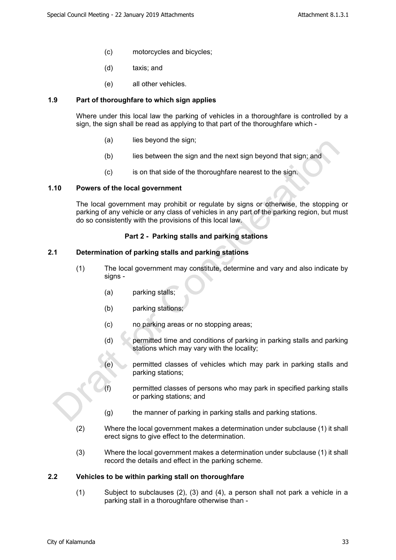- (c) motorcycles and bicycles;
- (d) taxis; and
- (e) all other vehicles.

#### <span id="page-9-0"></span>**1.9 Part of thoroughfare to which sign applies**

Where under this local law the parking of vehicles in a thoroughfare is controlled by a sign, the sign shall be read as applying to that part of the thoroughfare which -

- (a) lies beyond the sign;
- (b) lies between the sign and the next sign beyond that sign; and
- (c) is on that side of the thoroughfare nearest to the sign.

#### <span id="page-9-1"></span>**1.10 Powers of the local government**

The local government may prohibit or regulate by signs or otherwise, the stopping or parking of any vehicle or any class of vehicles in any part of the parking region, but must do so consistently with the provisions of this local law.

#### <span id="page-9-2"></span>**Part 2 - Parking stalls and parking stations**

#### <span id="page-9-3"></span>**2.1 Determination of parking stalls and parking stations**

- (1) The local government may constitute, determine and vary and also indicate by signs -
	- (a) parking stalls;
	- (b) parking stations;
	- (c) no parking areas or no stopping areas;
	- (d) permitted time and conditions of parking in parking stalls and parking stations which may vary with the locality;
	- (e) permitted classes of vehicles which may park in parking stalls and parking stations;
	- (f) permitted classes of persons who may park in specified parking stalls or parking stations; and
	- (g) the manner of parking in parking stalls and parking stations.
- (2) Where the local government makes a determination under subclause (1) it shall erect signs to give effect to the determination.
- (3) Where the local government makes a determination under subclause (1) it shall record the details and effect in the parking scheme.

#### <span id="page-9-4"></span>**2.2 Vehicles to be within parking stall on thoroughfare**

(1) Subject to subclauses (2), (3) and (4), a person shall not park a vehicle in a parking stall in a thoroughfare otherwise than -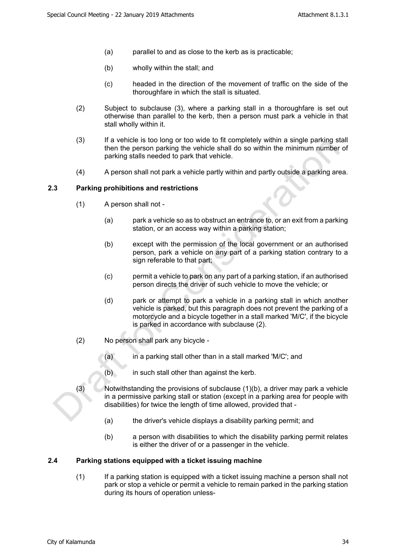- (a) parallel to and as close to the kerb as is practicable;
- (b) wholly within the stall; and
- (c) headed in the direction of the movement of traffic on the side of the thoroughfare in which the stall is situated.
- (2) Subject to subclause (3), where a parking stall in a thoroughfare is set out otherwise than parallel to the kerb, then a person must park a vehicle in that stall wholly within it.
- (3) If a vehicle is too long or too wide to fit completely within a single parking stall then the person parking the vehicle shall do so within the minimum number of parking stalls needed to park that vehicle.
- (4) A person shall not park a vehicle partly within and partly outside a parking area.

#### <span id="page-10-0"></span>**2.3 Parking prohibitions and restrictions**

- (1) A person shall not
	- (a) park a vehicle so as to obstruct an entrance to, or an exit from a parking station, or an access way within a parking station;
	- (b) except with the permission of the local government or an authorised person, park a vehicle on any part of a parking station contrary to a sign referable to that part;
	- (c) permit a vehicle to park on any part of a parking station, if an authorised person directs the driver of such vehicle to move the vehicle; or
	- (d) park or attempt to park a vehicle in a parking stall in which another vehicle is parked, but this paragraph does not prevent the parking of a motorcycle and a bicycle together in a stall marked 'M/C', if the bicycle is parked in accordance with subclause (2).
- (2) No person shall park any bicycle
	- (a) in a parking stall other than in a stall marked 'M/C'; and
	- (b) in such stall other than against the kerb.
- (3) Notwithstanding the provisions of subclause (1)(b), a driver may park a vehicle in a permissive parking stall or station (except in a parking area for people with disabilities) for twice the length of time allowed, provided that -
	- (a) the driver's vehicle displays a disability parking permit; and
	- (b) a person with disabilities to which the disability parking permit relates is either the driver of or a passenger in the vehicle.

#### <span id="page-10-1"></span>**2.4 Parking stations equipped with a ticket issuing machine**

(1) If a parking station is equipped with a ticket issuing machine a person shall not park or stop a vehicle or permit a vehicle to remain parked in the parking station during its hours of operation unless-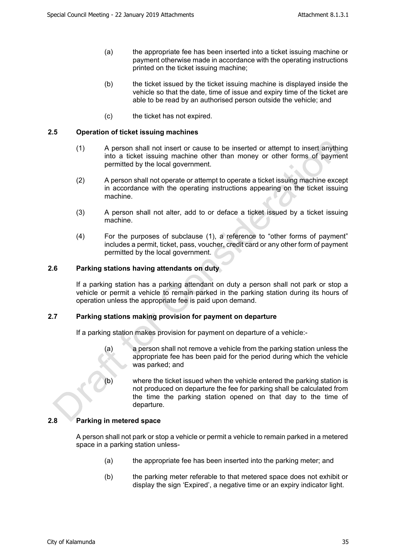- (a) the appropriate fee has been inserted into a ticket issuing machine or payment otherwise made in accordance with the operating instructions printed on the ticket issuing machine;
- (b) the ticket issued by the ticket issuing machine is displayed inside the vehicle so that the date, time of issue and expiry time of the ticket are able to be read by an authorised person outside the vehicle; and
- (c) the ticket has not expired.

#### <span id="page-11-0"></span>**2.5 Operation of ticket issuing machines**

- (1) A person shall not insert or cause to be inserted or attempt to insert anything into a ticket issuing machine other than money or other forms of payment permitted by the local government.
- (2) A person shall not operate or attempt to operate a ticket issuing machine except in accordance with the operating instructions appearing on the ticket issuing machine.
- (3) A person shall not alter, add to or deface a ticket issued by a ticket issuing machine.
- (4) For the purposes of subclause (1), a reference to "other forms of payment" includes a permit, ticket, pass, voucher, credit card or any other form of payment permitted by the local government.

#### <span id="page-11-1"></span>**2.6 Parking stations having attendants on duty**

If a parking station has a parking attendant on duty a person shall not park or stop a vehicle or permit a vehicle to remain parked in the parking station during its hours of operation unless the appropriate fee is paid upon demand.

#### <span id="page-11-2"></span>**2.7 Parking stations making provision for payment on departure**

If a parking station makes provision for payment on departure of a vehicle:-

- (a) a person shall not remove a vehicle from the parking station unless the appropriate fee has been paid for the period during which the vehicle was parked; and
- (b) where the ticket issued when the vehicle entered the parking station is not produced on departure the fee for parking shall be calculated from the time the parking station opened on that day to the time of departure.

#### <span id="page-11-3"></span>**2.8 Parking in metered space**

A person shall not park or stop a vehicle or permit a vehicle to remain parked in a metered space in a parking station unless-

- (a) the appropriate fee has been inserted into the parking meter; and
- (b) the parking meter referable to that metered space does not exhibit or display the sign 'Expired', a negative time or an expiry indicator light.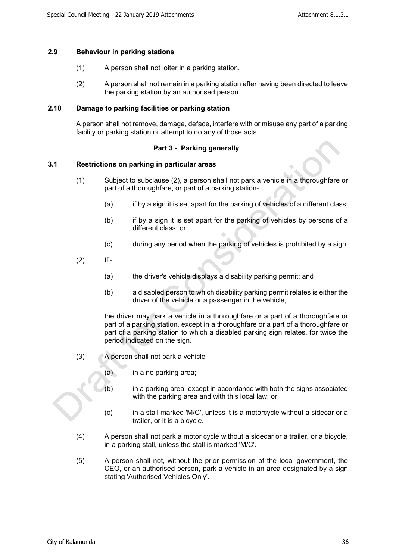#### <span id="page-12-0"></span>**2.9 Behaviour in parking stations**

- (1) A person shall not loiter in a parking station.
- (2) A person shall not remain in a parking station after having been directed to leave the parking station by an authorised person.

#### <span id="page-12-1"></span>**2.10 Damage to parking facilities or parking station**

A person shall not remove, damage, deface, interfere with or misuse any part of a parking facility or parking station or attempt to do any of those acts.

#### <span id="page-12-2"></span>**Part 3 - Parking generally**

#### <span id="page-12-3"></span>**3.1 Restrictions on parking in particular areas**

- (1) Subject to subclause (2), a person shall not park a vehicle in a thoroughfare or part of a thoroughfare, or part of a parking station-
	- (a) if by a sign it is set apart for the parking of vehicles of a different class;
	- (b) if by a sign it is set apart for the parking of vehicles by persons of a different class; or
	- (c) during any period when the parking of vehicles is prohibited by a sign.
- $(2)$  If -
	- (a) the driver's vehicle displays a disability parking permit; and
	- (b) a disabled person to which disability parking permit relates is either the driver of the vehicle or a passenger in the vehicle,

the driver may park a vehicle in a thoroughfare or a part of a thoroughfare or part of a parking station, except in a thoroughfare or a part of a thoroughfare or part of a parking station to which a disabled parking sign relates, for twice the period indicated on the sign.

- (3) A person shall not park a vehicle
	- (a) in a no parking area;
	- (b) in a parking area, except in accordance with both the signs associated with the parking area and with this local law; or
	- (c) in a stall marked 'M/C', unless it is a motorcycle without a sidecar or a trailer, or it is a bicycle.
- (4) A person shall not park a motor cycle without a sidecar or a trailer, or a bicycle, in a parking stall, unless the stall is marked 'M/C'.
- (5) A person shall not, without the prior permission of the local government, the CEO, or an authorised person, park a vehicle in an area designated by a sign stating 'Authorised Vehicles Only'.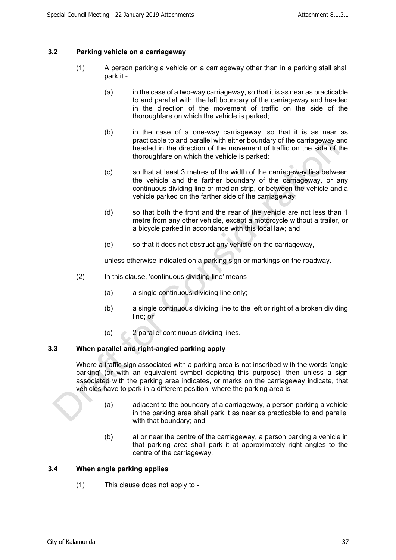#### <span id="page-13-0"></span>**3.2 Parking vehicle on a carriageway**

- (1) A person parking a vehicle on a carriageway other than in a parking stall shall park it -
	- (a) in the case of a two-way carriageway, so that it is as near as practicable to and parallel with, the left boundary of the carriageway and headed in the direction of the movement of traffic on the side of the thoroughfare on which the vehicle is parked;
	- (b) in the case of a one-way carriageway, so that it is as near as practicable to and parallel with either boundary of the carriageway and headed in the direction of the movement of traffic on the side of the thoroughfare on which the vehicle is parked;
	- (c) so that at least 3 metres of the width of the carriageway lies between the vehicle and the farther boundary of the carriageway, or any continuous dividing line or median strip, or between the vehicle and a vehicle parked on the farther side of the carriageway;
	- (d) so that both the front and the rear of the vehicle are not less than 1 metre from any other vehicle, except a motorcycle without a trailer, or a bicycle parked in accordance with this local law; and
	- (e) so that it does not obstruct any vehicle on the carriageway,

unless otherwise indicated on a parking sign or markings on the roadway.

- (2) In this clause, 'continuous dividing line' means
	- (a) a single continuous dividing line only;
	- (b) a single continuous dividing line to the left or right of a broken dividing line; or
	- (c) 2 parallel continuous dividing lines.

#### <span id="page-13-1"></span>**3.3 When parallel and right-angled parking apply**

Where a traffic sign associated with a parking area is not inscribed with the words 'angle parking' (or with an equivalent symbol depicting this purpose), then unless a sign associated with the parking area indicates, or marks on the carriageway indicate, that vehicles have to park in a different position, where the parking area is -

- (a) adjacent to the boundary of a carriageway, a person parking a vehicle in the parking area shall park it as near as practicable to and parallel with that boundary; and
- (b) at or near the centre of the carriageway, a person parking a vehicle in that parking area shall park it at approximately right angles to the centre of the carriageway.

#### <span id="page-13-2"></span>**3.4 When angle parking applies**

(1) This clause does not apply to -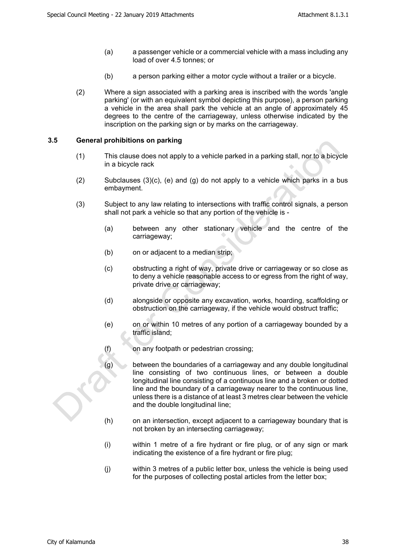- (a) a passenger vehicle or a commercial vehicle with a mass including any load of over 4.5 tonnes; or
- (b) a person parking either a motor cycle without a trailer or a bicycle.
- (2) Where a sign associated with a parking area is inscribed with the words 'angle parking' (or with an equivalent symbol depicting this purpose), a person parking a vehicle in the area shall park the vehicle at an angle of approximately 45 degrees to the centre of the carriageway, unless otherwise indicated by the inscription on the parking sign or by marks on the carriageway.

#### <span id="page-14-0"></span>**3.5 General prohibitions on parking**

- (1) This clause does not apply to a vehicle parked in a parking stall, nor to a bicycle in a bicycle rack
- (2) Subclauses  $(3)(c)$ , (e) and  $(q)$  do not apply to a vehicle which parks in a bus embayment.
- (3) Subject to any law relating to intersections with traffic control signals, a person shall not park a vehicle so that any portion of the vehicle is -
	- (a) between any other stationary vehicle and the centre of the carriageway;
	- (b) on or adjacent to a median strip;
	- (c) obstructing a right of way, private drive or carriageway or so close as to deny a vehicle reasonable access to or egress from the right of way, private drive or carriageway;
	- (d) alongside or opposite any excavation, works, hoarding, scaffolding or obstruction on the carriageway, if the vehicle would obstruct traffic;
	- (e) on or within 10 metres of any portion of a carriageway bounded by a traffic island;
	- (f) on any footpath or pedestrian crossing;
	- $(g)$  between the boundaries of a carriageway and any double longitudinal line consisting of two continuous lines, or between a double longitudinal line consisting of a continuous line and a broken or dotted line and the boundary of a carriageway nearer to the continuous line, unless there is a distance of at least 3 metres clear between the vehicle and the double longitudinal line;
	- (h) on an intersection, except adjacent to a carriageway boundary that is not broken by an intersecting carriageway;
	- (i) within 1 metre of a fire hydrant or fire plug, or of any sign or mark indicating the existence of a fire hydrant or fire plug;
	- (j) within 3 metres of a public letter box, unless the vehicle is being used for the purposes of collecting postal articles from the letter box;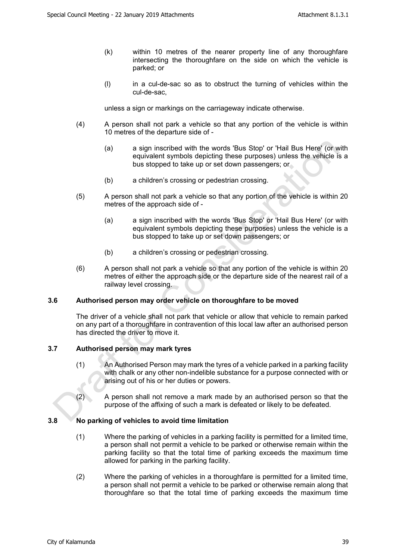- (k) within 10 metres of the nearer property line of any thoroughfare intersecting the thoroughfare on the side on which the vehicle is parked; or
- (l) in a cul-de-sac so as to obstruct the turning of vehicles within the cul-de-sac,

unless a sign or markings on the carriageway indicate otherwise.

- (4) A person shall not park a vehicle so that any portion of the vehicle is within 10 metres of the departure side of -
	- (a) a sign inscribed with the words 'Bus Stop' or 'Hail Bus Here' (or with equivalent symbols depicting these purposes) unless the vehicle is a bus stopped to take up or set down passengers; or
	- (b) a children's crossing or pedestrian crossing.
- (5) A person shall not park a vehicle so that any portion of the vehicle is within 20 metres of the approach side of -
	- (a) a sign inscribed with the words 'Bus Stop' or 'Hail Bus Here' (or with equivalent symbols depicting these purposes) unless the vehicle is a bus stopped to take up or set down passengers; or
	- (b) a children's crossing or pedestrian crossing.
- (6) A person shall not park a vehicle so that any portion of the vehicle is within 20 metres of either the approach side or the departure side of the nearest rail of a railway level crossing.

#### <span id="page-15-0"></span>**3.6 Authorised person may order vehicle on thoroughfare to be moved**

The driver of a vehicle shall not park that vehicle or allow that vehicle to remain parked on any part of a thoroughfare in contravention of this local law after an authorised person has directed the driver to move it.

#### <span id="page-15-1"></span>**3.7 Authorised person may mark tyres**

- (1) An Authorised Person may mark the tyres of a vehicle parked in a parking facility with chalk or any other non-indelible substance for a purpose connected with or arising out of his or her duties or powers.
- (2) A person shall not remove a mark made by an authorised person so that the purpose of the affixing of such a mark is defeated or likely to be defeated.

#### <span id="page-15-2"></span>**3.8 No parking of vehicles to avoid time limitation**

- (1) Where the parking of vehicles in a parking facility is permitted for a limited time, a person shall not permit a vehicle to be parked or otherwise remain within the parking facility so that the total time of parking exceeds the maximum time allowed for parking in the parking facility.
- (2) Where the parking of vehicles in a thoroughfare is permitted for a limited time, a person shall not permit a vehicle to be parked or otherwise remain along that thoroughfare so that the total time of parking exceeds the maximum time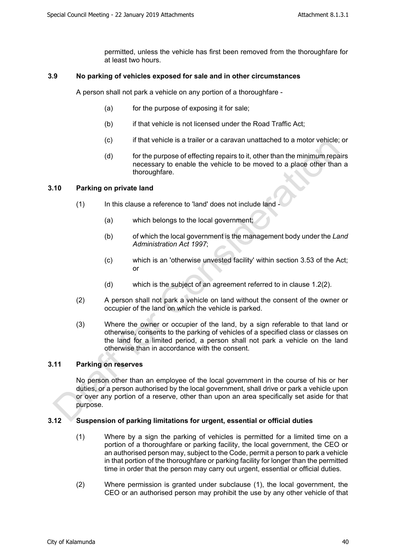permitted, unless the vehicle has first been removed from the thoroughfare for at least two hours.

#### <span id="page-16-0"></span>**3.9 No parking of vehicles exposed for sale and in other circumstances**

A person shall not park a vehicle on any portion of a thoroughfare -

- (a) for the purpose of exposing it for sale;
- (b) if that vehicle is not licensed under the Road Traffic Act;
- (c) if that vehicle is a trailer or a caravan unattached to a motor vehicle; or
- (d) for the purpose of effecting repairs to it, other than the minimum repairs necessary to enable the vehicle to be moved to a place other than a thoroughfare.

#### <span id="page-16-1"></span>**3.10 Parking on private land**

- (1) In this clause a reference to 'land' does not include land
	- (a) which belongs to the local government;
	- (b) of which the local government is the management body under the *Land Administration Act 1997*;
	- (c) which is an 'otherwise unvested facility' within section 3.53 of the Act; or
	- (d) which is the subject of an agreement referred to in clause 1.2(2).
- (2) A person shall not park a vehicle on land without the consent of the owner or occupier of the land on which the vehicle is parked.
- (3) Where the owner or occupier of the land, by a sign referable to that land or otherwise, consents to the parking of vehicles of a specified class or classes on the land for a limited period, a person shall not park a vehicle on the land otherwise than in accordance with the consent.

#### <span id="page-16-2"></span>**3.11 Parking on reserves**

No person other than an employee of the local government in the course of his or her duties, or a person authorised by the local government, shall drive or park a vehicle upon or over any portion of a reserve, other than upon an area specifically set aside for that purpose.

#### <span id="page-16-3"></span>**3.12 Suspension of parking limitations for urgent, essential or official duties**

- (1) Where by a sign the parking of vehicles is permitted for a limited time on a portion of a thoroughfare or parking facility, the local government, the CEO or an authorised person may, subject to the Code, permit a person to park a vehicle in that portion of the thoroughfare or parking facility for longer than the permitted time in order that the person may carry out urgent, essential or official duties.
- (2) Where permission is granted under subclause (1), the local government, the CEO or an authorised person may prohibit the use by any other vehicle of that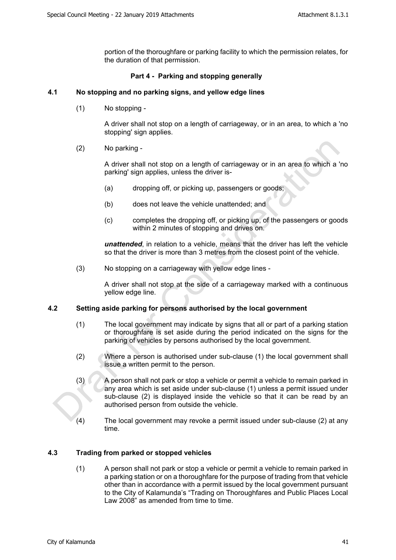portion of the thoroughfare or parking facility to which the permission relates, for the duration of that permission.

#### <span id="page-17-0"></span>**Part 4 - Parking and stopping generally**

#### <span id="page-17-1"></span>**4.1 No stopping and no parking signs, and yellow edge lines**

(1) No stopping -

A driver shall not stop on a length of carriageway, or in an area, to which a 'no stopping' sign applies.

(2) No parking -

A driver shall not stop on a length of carriageway or in an area to which a 'no parking' sign applies, unless the driver is-

- (a) dropping off, or picking up, passengers or goods;
- (b) does not leave the vehicle unattended; and
- (c) completes the dropping off, or picking up, of the passengers or goods within 2 minutes of stopping and drives on.

*unattended*, in relation to a vehicle, means that the driver has left the vehicle so that the driver is more than 3 metres from the closest point of the vehicle.

(3) No stopping on a carriageway with yellow edge lines -

A driver shall not stop at the side of a carriageway marked with a continuous yellow edge line.

#### <span id="page-17-2"></span>**4.2 Setting aside parking for persons authorised by the local government**

- (1) The local government may indicate by signs that all or part of a parking station or thoroughfare is set aside during the period indicated on the signs for the parking of vehicles by persons authorised by the local government.
- (2) Where a person is authorised under sub-clause (1) the local government shall issue a written permit to the person.
- (3) A person shall not park or stop a vehicle or permit a vehicle to remain parked in any area which is set aside under sub-clause (1) unless a permit issued under sub-clause (2) is displayed inside the vehicle so that it can be read by an authorised person from outside the vehicle.
- (4) The local government may revoke a permit issued under sub-clause (2) at any time.

#### <span id="page-17-3"></span>**4.3 Trading from parked or stopped vehicles**

(1) A person shall not park or stop a vehicle or permit a vehicle to remain parked in a parking station or on a thoroughfare for the purpose of trading from that vehicle other than in accordance with a permit issued by the local government pursuant to the City of Kalamunda's "Trading on Thoroughfares and Public Places Local Law 2008" as amended from time to time.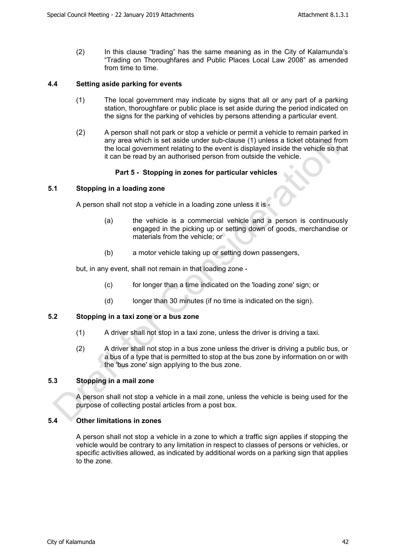(2) In this clause "trading" has the same meaning as in the City of Kalamunda's "Trading on Thoroughfares and Public Places Local Law 2008" as amended from time to time.

#### <span id="page-18-0"></span>**4.4 Setting aside parking for events**

- (1) The local government may indicate by signs that all or any part of a parking station, thoroughfare or public place is set aside during the period indicated on the signs for the parking of vehicles by persons attending a particular event.
- (2) A person shall not park or stop a vehicle or permit a vehicle to remain parked in any area which is set aside under sub-clause (1) unless a ticket obtained from the local government relating to the event is displayed inside the vehicle so that it can be read by an authorised person from outside the vehicle.

#### <span id="page-18-1"></span>**Part 5 - Stopping in zones for particular vehicles**

#### <span id="page-18-2"></span>**5.1 Stopping in a loading zone**

A person shall not stop a vehicle in a loading zone unless it is -

- (a) the vehicle is a commercial vehicle and a person is continuously engaged in the picking up or setting down of goods, merchandise or materials from the vehicle; or
- (b) a motor vehicle taking up or setting down passengers,

but, in any event, shall not remain in that loading zone -

- (c) for longer than a time indicated on the 'loading zone' sign; or
- (d) longer than 30 minutes (if no time is indicated on the sign).

#### <span id="page-18-3"></span>**5.2 Stopping in a taxi zone or a bus zone**

- (1) A driver shall not stop in a taxi zone, unless the driver is driving a taxi.
- (2) A driver shall not stop in a bus zone unless the driver is driving a public bus, or a bus of a type that is permitted to stop at the bus zone by information on or with the 'bus zone' sign applying to the bus zone.

#### <span id="page-18-4"></span>**5.3 Stopping in a mail zone**

A person shall not stop a vehicle in a mail zone, unless the vehicle is being used for the purpose of collecting postal articles from a post box.

#### <span id="page-18-5"></span>**5.4 Other limitations in zones**

A person shall not stop a vehicle in a zone to which a traffic sign applies if stopping the vehicle would be contrary to any limitation in respect to classes of persons or vehicles, or specific activities allowed, as indicated by additional words on a parking sign that applies to the zone.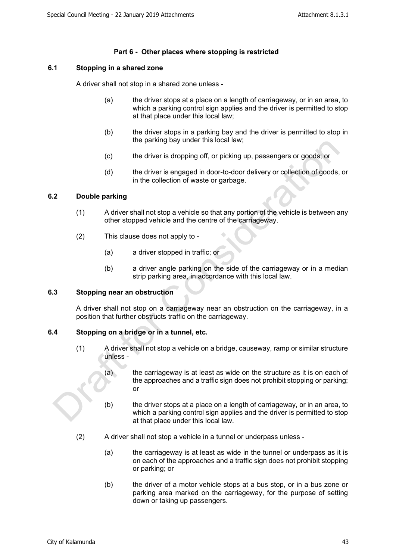#### <span id="page-19-0"></span>**Part 6 - Other places where stopping is restricted**

#### <span id="page-19-1"></span>**6.1 Stopping in a shared zone**

A driver shall not stop in a shared zone unless -

- (a) the driver stops at a place on a length of carriageway, or in an area, to which a parking control sign applies and the driver is permitted to stop at that place under this local law;
- (b) the driver stops in a parking bay and the driver is permitted to stop in the parking bay under this local law;
- (c) the driver is dropping off, or picking up, passengers or goods; or
- (d) the driver is engaged in door-to-door delivery or collection of goods, or in the collection of waste or garbage.

#### <span id="page-19-2"></span>**6.2 Double parking**

- (1) A driver shall not stop a vehicle so that any portion of the vehicle is between any other stopped vehicle and the centre of the carriageway.
- (2) This clause does not apply to
	- (a) a driver stopped in traffic; or
	- (b) a driver angle parking on the side of the carriageway or in a median strip parking area, in accordance with this local law.

#### <span id="page-19-3"></span>**6.3 Stopping near an obstruction**

A driver shall not stop on a carriageway near an obstruction on the carriageway, in a position that further obstructs traffic on the carriageway.

#### <span id="page-19-4"></span>**6.4 Stopping on a bridge or in a tunnel, etc.**

- (1) A driver shall not stop a vehicle on a bridge, causeway, ramp or similar structure unless -
	- (a) the carriageway is at least as wide on the structure as it is on each of the approaches and a traffic sign does not prohibit stopping or parking; or
	- (b) the driver stops at a place on a length of carriageway, or in an area, to which a parking control sign applies and the driver is permitted to stop at that place under this local law.
- (2) A driver shall not stop a vehicle in a tunnel or underpass unless
	- (a) the carriageway is at least as wide in the tunnel or underpass as it is on each of the approaches and a traffic sign does not prohibit stopping or parking; or
	- (b) the driver of a motor vehicle stops at a bus stop, or in a bus zone or parking area marked on the carriageway, for the purpose of setting down or taking up passengers.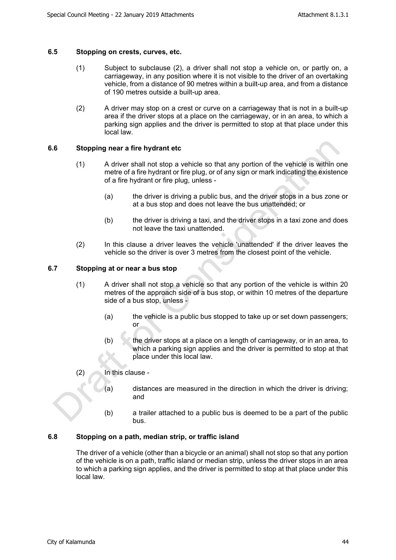#### <span id="page-20-0"></span>**6.5 Stopping on crests, curves, etc.**

- (1) Subject to subclause (2), a driver shall not stop a vehicle on, or partly on, a carriageway, in any position where it is not visible to the driver of an overtaking vehicle, from a distance of 90 metres within a built-up area, and from a distance of 190 metres outside a built-up area.
- (2) A driver may stop on a crest or curve on a carriageway that is not in a built-up area if the driver stops at a place on the carriageway, or in an area, to which a parking sign applies and the driver is permitted to stop at that place under this local law.

#### <span id="page-20-1"></span>**6.6 Stopping near a fire hydrant etc**

- (1) A driver shall not stop a vehicle so that any portion of the vehicle is within one metre of a fire hydrant or fire plug, or of any sign or mark indicating the existence of a fire hydrant or fire plug, unless -
	- (a) the driver is driving a public bus, and the driver stops in a bus zone or at a bus stop and does not leave the bus unattended; or
	- (b) the driver is driving a taxi, and the driver stops in a taxi zone and does not leave the taxi unattended.
- (2) In this clause a driver leaves the vehicle 'unattended' if the driver leaves the vehicle so the driver is over 3 metres from the closest point of the vehicle.

#### <span id="page-20-2"></span>**6.7 Stopping at or near a bus stop**

- (1) A driver shall not stop a vehicle so that any portion of the vehicle is within 20 metres of the approach side of a bus stop, or within 10 metres of the departure side of a bus stop, unless -
	- (a) the vehicle is a public bus stopped to take up or set down passengers; or
	- $(b)$  the driver stops at a place on a length of carriageway, or in an area, to which a parking sign applies and the driver is permitted to stop at that place under this local law.
- (2) In this clause
	- (a) distances are measured in the direction in which the driver is driving; and
	- (b) a trailer attached to a public bus is deemed to be a part of the public bus.

#### <span id="page-20-3"></span>**6.8 Stopping on a path, median strip, or traffic island**

The driver of a vehicle (other than a bicycle or an animal) shall not stop so that any portion of the vehicle is on a path, traffic island or median strip, unless the driver stops in an area to which a parking sign applies, and the driver is permitted to stop at that place under this local law.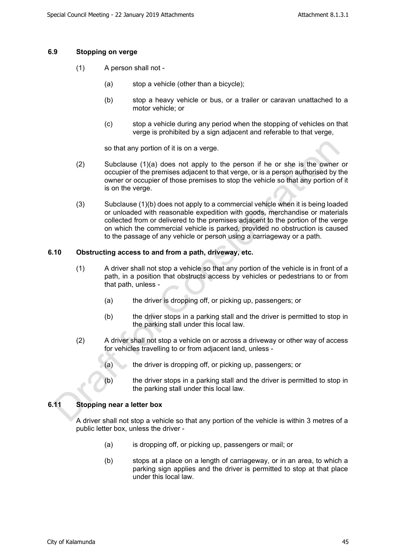#### <span id="page-21-0"></span>**6.9 Stopping on verge**

- (1) A person shall not
	- (a) stop a vehicle (other than a bicycle);
	- (b) stop a heavy vehicle or bus, or a trailer or caravan unattached to a motor vehicle; or
	- (c) stop a vehicle during any period when the stopping of vehicles on that verge is prohibited by a sign adjacent and referable to that verge,

so that any portion of it is on a verge.

- (2) Subclause (1)(a) does not apply to the person if he or she is the owner or occupier of the premises adjacent to that verge, or is a person authorised by the owner or occupier of those premises to stop the vehicle so that any portion of it is on the verge.
- (3) Subclause (1)(b) does not apply to a commercial vehicle when it is being loaded or unloaded with reasonable expedition with goods, merchandise or materials collected from or delivered to the premises adjacent to the portion of the verge on which the commercial vehicle is parked, provided no obstruction is caused to the passage of any vehicle or person using a carriageway or a path.

#### <span id="page-21-1"></span>**6.10 Obstructing access to and from a path, driveway, etc.**

- (1) A driver shall not stop a vehicle so that any portion of the vehicle is in front of a path, in a position that obstructs access by vehicles or pedestrians to or from that path, unless -
	- (a) the driver is dropping off, or picking up, passengers; or
	- (b) the driver stops in a parking stall and the driver is permitted to stop in the parking stall under this local law.
- (2) A driver shall not stop a vehicle on or across a driveway or other way of access for vehicles travelling to or from adjacent land, unless -
	- (a) the driver is dropping off, or picking up, passengers; or
	- (b) the driver stops in a parking stall and the driver is permitted to stop in the parking stall under this local law.

#### <span id="page-21-2"></span>**6.11 Stopping near a letter box**

A driver shall not stop a vehicle so that any portion of the vehicle is within 3 metres of a public letter box, unless the driver -

- (a) is dropping off, or picking up, passengers or mail; or
- (b) stops at a place on a length of carriageway, or in an area, to which a parking sign applies and the driver is permitted to stop at that place under this local law.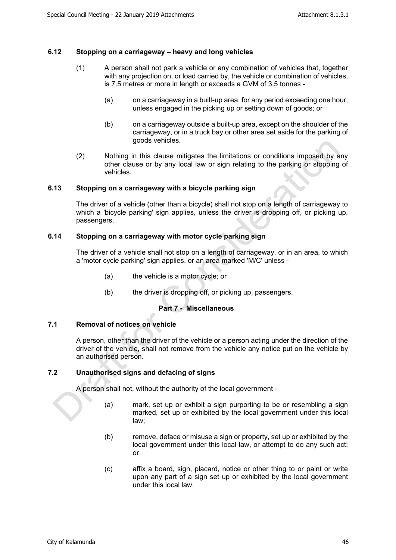#### <span id="page-22-0"></span>**6.12 Stopping on a carriageway – heavy and long vehicles**

- (1) A person shall not park a vehicle or any combination of vehicles that, together with any projection on, or load carried by, the vehicle or combination of vehicles, is 7.5 metres or more in length or exceeds a GVM of 3.5 tonnes -
	- (a) on a carriageway in a built-up area, for any period exceeding one hour, unless engaged in the picking up or setting down of goods; or
	- (b) on a carriageway outside a built-up area, except on the shoulder of the carriageway, or in a truck bay or other area set aside for the parking of goods vehicles.
- (2) Nothing in this clause mitigates the limitations or conditions imposed by any other clause or by any local law or sign relating to the parking or stopping of vehicles.

#### <span id="page-22-1"></span>**6.13 Stopping on a carriageway with a bicycle parking sign**

The driver of a vehicle (other than a bicycle) shall not stop on a length of carriageway to which a 'bicycle parking' sign applies, unless the driver is dropping off, or picking up, passengers.

#### <span id="page-22-2"></span>**6.14 Stopping on a carriageway with motor cycle parking sign**

The driver of a vehicle shall not stop on a length of carriageway, or in an area, to which a 'motor cycle parking' sign applies, or an area marked 'M/C' unless -

- (a) the vehicle is a motor cycle; or
- (b) the driver is dropping off, or picking up, passengers.

#### <span id="page-22-3"></span>**Part 7 - Miscellaneous**

#### <span id="page-22-4"></span>**7.1 Removal of notices on vehicle**

A person, other than the driver of the vehicle or a person acting under the direction of the driver of the vehicle, shall not remove from the vehicle any notice put on the vehicle by an authorised person.

#### <span id="page-22-5"></span>**7.2 Unauthorised signs and defacing of signs**

A person shall not, without the authority of the local government -

- (a) mark, set up or exhibit a sign purporting to be or resembling a sign marked, set up or exhibited by the local government under this local law;
- (b) remove, deface or misuse a sign or property, set up or exhibited by the local government under this local law, or attempt to do any such act; or
- (c) affix a board, sign, placard, notice or other thing to or paint or write upon any part of a sign set up or exhibited by the local government under this local law.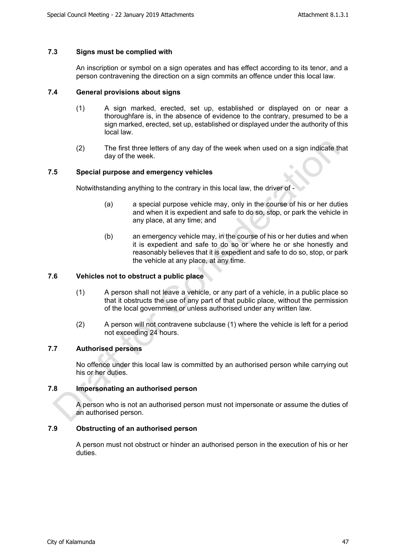#### <span id="page-23-0"></span>**7.3 Signs must be complied with**

An inscription or symbol on a sign operates and has effect according to its tenor, and a person contravening the direction on a sign commits an offence under this local law.

#### <span id="page-23-1"></span>**7.4 General provisions about signs**

- (1) A sign marked, erected, set up, established or displayed on or near a thoroughfare is, in the absence of evidence to the contrary, presumed to be a sign marked, erected, set up, established or displayed under the authority of this local law.
- (2) The first three letters of any day of the week when used on a sign indicate that day of the week.

#### <span id="page-23-2"></span>**7.5 Special purpose and emergency vehicles**

Notwithstanding anything to the contrary in this local law, the driver of -

- (a) a special purpose vehicle may, only in the course of his or her duties and when it is expedient and safe to do so, stop, or park the vehicle in any place, at any time; and
- (b) an emergency vehicle may, in the course of his or her duties and when it is expedient and safe to do so or where he or she honestly and reasonably believes that it is expedient and safe to do so, stop, or park the vehicle at any place, at any time.

#### <span id="page-23-3"></span>**7.6 Vehicles not to obstruct a public place**

- (1) A person shall not leave a vehicle, or any part of a vehicle, in a public place so that it obstructs the use of any part of that public place, without the permission of the local government or unless authorised under any written law.
- (2) A person will not contravene subclause (1) where the vehicle is left for a period not exceeding 24 hours.

#### <span id="page-23-4"></span>**7.7 Authorised persons**

No offence under this local law is committed by an authorised person while carrying out his or her duties.

#### <span id="page-23-5"></span>**7.8 Impersonating an authorised person**

A person who is not an authorised person must not impersonate or assume the duties of an authorised person.

#### <span id="page-23-6"></span>**7.9 Obstructing of an authorised person**

A person must not obstruct or hinder an authorised person in the execution of his or her duties.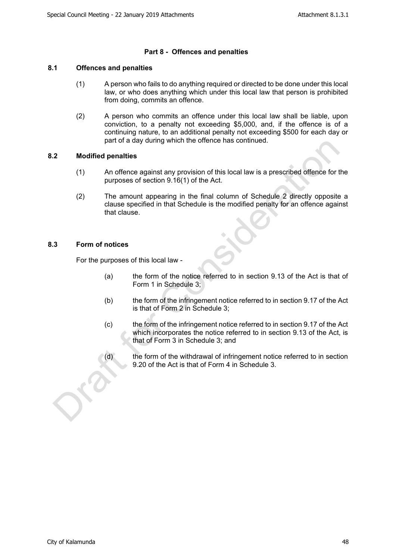#### <span id="page-24-0"></span>**Part 8 - Offences and penalties**

#### <span id="page-24-1"></span>**8.1 Offences and penalties**

- (1) A person who fails to do anything required or directed to be done under this local law, or who does anything which under this local law that person is prohibited from doing, commits an offence.
- (2) A person who commits an offence under this local law shall be liable, upon conviction, to a penalty not exceeding \$5,000, and, if the offence is of a continuing nature, to an additional penalty not exceeding \$500 for each day or part of a day during which the offence has continued.

#### <span id="page-24-2"></span>**8.2 Modified penalties**

- (1) An offence against any provision of this local law is a prescribed offence for the purposes of section 9.16(1) of the Act.
- (2) The amount appearing in the final column of Schedule 2 directly opposite a clause specified in that Schedule is the modified penalty for an offence against that clause.

#### <span id="page-24-3"></span>**8.3 Form of notices**

For the purposes of this local law -

- (a) the form of the notice referred to in section 9.13 of the Act is that of Form 1 in Schedule 3;
- (b) the form of the infringement notice referred to in section 9.17 of the Act is that of Form 2 in Schedule 3;
- (c) the form of the infringement notice referred to in section 9.17 of the Act which incorporates the notice referred to in section 9.13 of the Act, is that of Form 3 in Schedule 3; and
- (d) the form of the withdrawal of infringement notice referred to in section 9.20 of the Act is that of Form 4 in Schedule 3.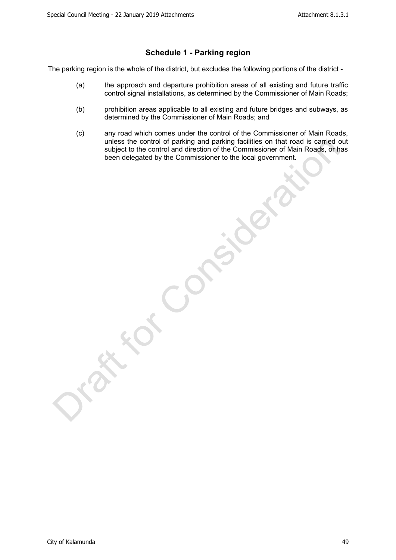#### <span id="page-25-0"></span>**Schedule 1 - Parking region**

The parking region is the whole of the district, but excludes the following portions of the district -

- (a) the approach and departure prohibition areas of all existing and future traffic control signal installations, as determined by the Commissioner of Main Roads;
- (b) prohibition areas applicable to all existing and future bridges and subways, as determined by the Commissioner of Main Roads; and
- (c) any road which comes under the control of the Commissioner of Main Roads, unless the control of parking and parking facilities on that road is carried out subject to the control and direction of the Commissioner of Main Roads, or has been delegated by the Commissioner to the local government.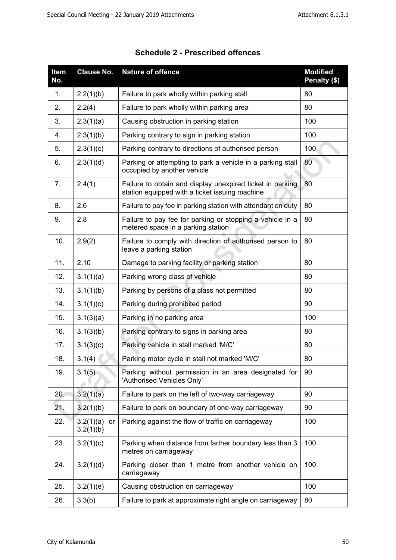| Item<br>No. | <b>Clause No.</b>            | <b>Nature of offence</b>                                                                                    | <b>Modified</b><br>Penalty (\$) |
|-------------|------------------------------|-------------------------------------------------------------------------------------------------------------|---------------------------------|
| 1.          | 2.2(1)(b)                    | Failure to park wholly within parking stall                                                                 | 80                              |
| 2.          | 2.2(4)                       | Failure to park wholly within parking area                                                                  | 80                              |
| 3.          | 2.3(1)(a)                    | Causing obstruction in parking station                                                                      | 100                             |
| 4.          | 2.3(1)(b)                    | Parking contrary to sign in parking station                                                                 | 100                             |
| 5.          | 2.3(1)(c)                    | Parking contrary to directions of authorised person                                                         | 100                             |
| 6.          | 2.3(1)(d)                    | Parking or attempting to park a vehicle in a parking stall<br>occupied by another vehicle                   | 80                              |
| 7.          | 2.4(1)                       | Failure to obtain and display unexpired ticket in parking<br>station equipped with a ticket issuing machine | 80                              |
| 8.          | 2.6                          | Failure to pay fee in parking station with attendant on duty                                                | 80                              |
| 9.          | 2.8                          | Failure to pay fee for parking or stopping a vehicle in a<br>metered space in a parking station             | 80                              |
| 10.         | 2.9(2)                       | Failure to comply with direction of authorised person to<br>leave a parking station                         | 80                              |
| 11.         | 2.10                         | Damage to parking facility or parking station                                                               | 80                              |
| 12.         | 3.1(1)(a)                    | Parking wrong class of vehicle                                                                              | 80                              |
| 13.         | 3.1(1)(b)                    | Parking by persons of a class not permitted                                                                 | 80                              |
| 14.         | 3.1(1)(c)                    | Parking during prohibited period                                                                            | 90                              |
| 15.         | 3.1(3)(a)                    | Parking in no parking area                                                                                  | 100                             |
| 16.         | 3.1(3)(b)                    | Parking contrary to signs in parking area                                                                   | 80                              |
| 17.         | 3.1(3)(c)                    | Parking vehicle in stall marked 'M/C'                                                                       | 80                              |
| 18.         | 3.1(4)                       | Parking motor cycle in stall not marked 'M/C'                                                               | 80                              |
| 19.         | 3.1(5)                       | Parking without permission in an area designated for<br>'Authorised Vehicles Only'                          | 90                              |
| 20.         | 3.2(1)(a)                    | Failure to park on the left of two-way carriageway                                                          | 90                              |
| 21.         | 3.2(1)(b)                    | Failure to park on boundary of one-way carriageway                                                          | 90                              |
| 22.         | 3.2(1)(a)<br>or<br>3.2(1)(b) | Parking against the flow of traffic on carriageway                                                          | 100                             |
| 23.         | 3.2(1)(c)                    | Parking when distance from farther boundary less than 3<br>metres on carriageway                            | 100                             |
| 24.         | 3.2(1)(d)                    | Parking closer than 1 metre from another vehicle on<br>carriageway                                          | 100                             |
| 25.         | 3.2(1)(e)                    | Causing obstruction on carriageway                                                                          | 100                             |
| 26.         | 3.3(b)                       | Failure to park at approximate right angle on carriageway                                                   | 80                              |

<span id="page-26-0"></span>

| <b>Schedule 2 - Prescribed offences</b> |  |
|-----------------------------------------|--|
|-----------------------------------------|--|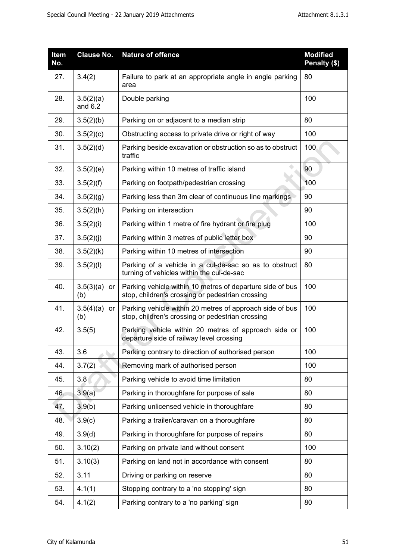| Item<br>No. | <b>Clause No.</b>      | <b>Nature of offence</b>                                                                                      | <b>Modified</b><br>Penalty (\$) |
|-------------|------------------------|---------------------------------------------------------------------------------------------------------------|---------------------------------|
| 27.         | 3.4(2)                 | Failure to park at an appropriate angle in angle parking<br>area                                              | 80                              |
| 28.         | 3.5(2)(a)<br>and $6.2$ | Double parking                                                                                                | 100                             |
| 29.         | 3.5(2)(b)              | Parking on or adjacent to a median strip                                                                      | 80                              |
| 30.         | 3.5(2)(c)              | Obstructing access to private drive or right of way                                                           | 100                             |
| 31.         | 3.5(2)(d)              | Parking beside excavation or obstruction so as to obstruct<br>traffic                                         | 100                             |
| 32.         | 3.5(2)(e)              | Parking within 10 metres of traffic island                                                                    | 90                              |
| 33.         | 3.5(2)(f)              | Parking on footpath/pedestrian crossing                                                                       | 100                             |
| 34.         | 3.5(2)(g)              | Parking less than 3m clear of continuous line markings                                                        | 90                              |
| 35.         | 3.5(2)(h)              | Parking on intersection                                                                                       | 90                              |
| 36.         | 3.5(2)(i)              | Parking within 1 metre of fire hydrant or fire plug                                                           | 100                             |
| 37.         | 3.5(2)(j)              | Parking within 3 metres of public letter box                                                                  | 90                              |
| 38.         | 3.5(2)(k)              | Parking within 10 metres of intersection                                                                      | 90                              |
| 39.         | 3.5(2)(I)              | Parking of a vehicle in a cul-de-sac so as to obstruct<br>turning of vehicles within the cul-de-sac           | 80                              |
| 40.         | 3.5(3)(a)<br>or<br>(b) | Parking vehicle within 10 metres of departure side of bus<br>stop, children's crossing or pedestrian crossing | 100                             |
| 41.         | $3.5(4)(a)$ or<br>(b)  | Parking vehicle within 20 metres of approach side of bus<br>stop, children's crossing or pedestrian crossing  | 100                             |
| 42.         | 3.5(5)                 | Parking vehicle within 20 metres of approach side or<br>departure side of railway level crossing              | 100                             |
| 43.         | 3.6                    | Parking contrary to direction of authorised person                                                            | 100                             |
| 44.         | 3.7(2)                 | Removing mark of authorised person                                                                            | 100                             |
| 45.         | 3.8                    | Parking vehicle to avoid time limitation                                                                      | 80                              |
| 46.         | 3.9(a)                 | Parking in thoroughfare for purpose of sale                                                                   | 80                              |
| 47.         | 3.9(b)                 | Parking unlicensed vehicle in thoroughfare                                                                    | 80                              |
| 48.         | 3.9(c)                 | Parking a trailer/caravan on a thoroughfare                                                                   | 80                              |
| 49.         | 3.9(d)                 | Parking in thoroughfare for purpose of repairs                                                                | 80                              |
| 50.         | 3.10(2)                | Parking on private land without consent                                                                       | 100                             |
| 51.         | 3.10(3)                | Parking on land not in accordance with consent                                                                | 80                              |
| 52.         | 3.11                   | Driving or parking on reserve                                                                                 | 80                              |
| 53.         | 4.1(1)                 | Stopping contrary to a 'no stopping' sign                                                                     | 80                              |
| 54.         | 4.1(2)                 | Parking contrary to a 'no parking' sign                                                                       | 80                              |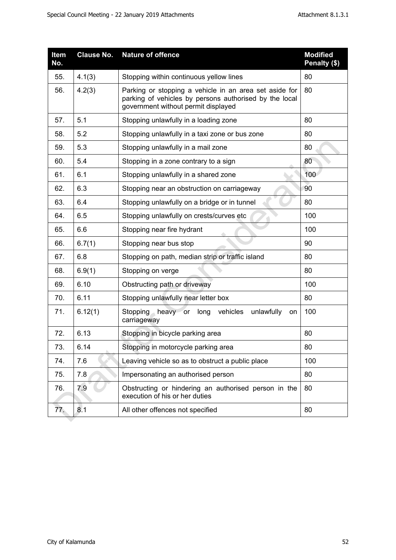| Item<br>No. | <b>Clause No.</b> | <b>Nature of offence</b>                                                                                                                                | <b>Modified</b><br>Penalty (\$) |
|-------------|-------------------|---------------------------------------------------------------------------------------------------------------------------------------------------------|---------------------------------|
| 55.         | 4.1(3)            | Stopping within continuous yellow lines                                                                                                                 | 80                              |
| 56.         | 4.2(3)            | Parking or stopping a vehicle in an area set aside for<br>parking of vehicles by persons authorised by the local<br>government without permit displayed | 80                              |
| 57.         | 5.1               | Stopping unlawfully in a loading zone                                                                                                                   | 80                              |
| 58.         | 5.2               | Stopping unlawfully in a taxi zone or bus zone                                                                                                          | 80                              |
| 59.         | 5.3               | Stopping unlawfully in a mail zone                                                                                                                      | 80                              |
| 60.         | 5.4               | Stopping in a zone contrary to a sign                                                                                                                   | 80                              |
| 61.         | 6.1               | Stopping unlawfully in a shared zone                                                                                                                    | 100                             |
| 62.         | 6.3               | Stopping near an obstruction on carriageway                                                                                                             | 90                              |
| 63.         | 6.4               | Stopping unlawfully on a bridge or in tunnel                                                                                                            | 80                              |
| 64.         | 6.5               | Stopping unlawfully on crests/curves etc                                                                                                                | 100                             |
| 65.         | 6.6               | Stopping near fire hydrant                                                                                                                              | 100                             |
| 66.         | 6.7(1)            | Stopping near bus stop                                                                                                                                  | 90                              |
| 67.         | 6.8               | Stopping on path, median strip or traffic island                                                                                                        | 80                              |
| 68.         | 6.9(1)            | Stopping on verge                                                                                                                                       | 80                              |
| 69.         | 6.10              | Obstructing path or driveway                                                                                                                            | 100                             |
| 70.         | 6.11              | Stopping unlawfully near letter box                                                                                                                     | 80                              |
| 71.         | 6.12(1)           | vehicles<br>unlawfully<br>Stopping heavy or<br>long<br>on<br>carriageway                                                                                | 100                             |
| 72.         | 6.13              | Stopping in bicycle parking area                                                                                                                        | 80                              |
| 73.         | 6.14              | Stopping in motorcycle parking area                                                                                                                     | 80                              |
| 74.         | 7.6               | Leaving vehicle so as to obstruct a public place                                                                                                        | 100                             |
| 75.         | 7.8               | Impersonating an authorised person                                                                                                                      | 80                              |
| 76.         | 7.9               | Obstructing or hindering an authorised person in the<br>execution of his or her duties                                                                  | 80                              |
| 77.         | 8.1               | All other offences not specified                                                                                                                        | 80                              |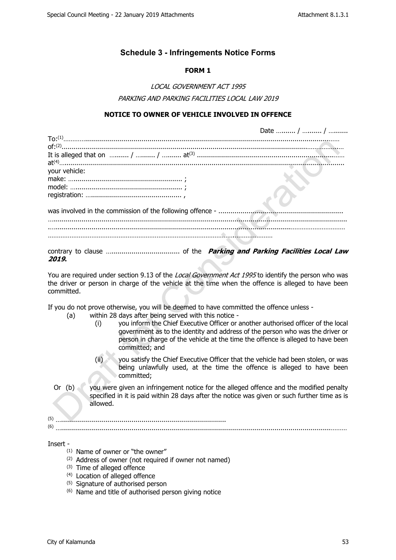### <span id="page-29-0"></span>**Schedule 3 - Infringements Notice Forms**

#### **FORM 1**

*LOCAL GOVERNMENT ACT 1995 PARKING AND PARKING FACILITIES LOCAL LAW 2019*

#### **NOTICE TO OWNER OF VEHICLE INVOLVED IN OFFENCE**

|               | Date  /  / |
|---------------|------------|
|               |            |
|               |            |
|               |            |
|               |            |
| your vehicle: |            |
|               |            |
|               |            |
|               |            |
|               |            |
|               |            |
|               |            |
|               |            |
|               |            |
|               |            |

contrary to clause ….................................. of the *Parking and Parking Facilities Local Law 2019***.**

You are required under section 9.13 of the *Local Government Act 1995* to identify the person who was the driver or person in charge of the vehicle at the time when the offence is alleged to have been committed.

If you do not prove otherwise, you will be deemed to have committed the offence unless -

- (a) within 28 days after being served with this notice
	- (i) you inform the Chief Executive Officer or another authorised officer of the local government as to the identity and address of the person who was the driver or person in charge of the vehicle at the time the offence is alleged to have been committed; and
	- (ii)  $\Diamond$  you satisfy the Chief Executive Officer that the vehicle had been stolen, or was being unlawfully used, at the time the offence is alleged to have been committed;
- Or (b) you were given an infringement notice for the alleged offence and the modified penalty specified in it is paid within 28 days after the notice was given or such further time as is allowed.

(5) ….................................................................................. (6) …......................................................................................................................................………

Insert -

- $(1)$  Name of owner or "the owner"
- (2) Address of owner (not required if owner not named)
- (3) Time of alleged offence
- (4) Location of alleged offence
- (5) Signature of authorised person
- (6) Name and title of authorised person giving notice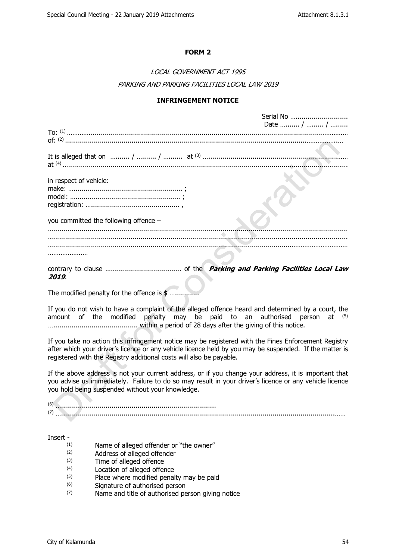Corial No.

#### **FORM 2**

## *LOCAL GOVERNMENT ACT 1995 PARKING AND PARKING FACILITIES LOCAL LAW 2019*

#### **INFRINGEMENT NOTICE**

|                                                                                                                                                               | <u>JENGI INU </u><br>Date  /  / |
|---------------------------------------------------------------------------------------------------------------------------------------------------------------|---------------------------------|
|                                                                                                                                                               |                                 |
| It is alleged that on $\ldots$ / $\ldots$ / $\ldots$ at $(3)$ $\ldots$ $(4)$ $\ldots$ $\ldots$ $\ldots$ at $(4)$ $\ldots$ $\ldots$ $\ldots$ $\ldots$ $\ldots$ |                                 |
| in respect of vehicle:                                                                                                                                        |                                 |
| you committed the following offence -                                                                                                                         |                                 |
|                                                                                                                                                               |                                 |
|                                                                                                                                                               |                                 |
| 2019                                                                                                                                                          |                                 |

The modified penalty for the offence is  $$$  ......

If you do not wish to have a complaint of the alleged offence heard and determined by a court, the amount of the modified penalty may be paid to an authorised person at (5) ….......................................... within a period of 28 days after the giving of this notice.

If you take no action this infringement notice may be registered with the Fines Enforcement Registry after which your driver's licence or any vehicle licence held by you may be suspended. If the matter is registered with the Registry additional costs will also be payable.

If the above address is not your current address, or if you change your address, it is important that you advise us immediately. Failure to do so may result in your driver's licence or any vehicle licence you hold being suspended without your knowledge.

(6) …............................................................................. (7) …........................................................................................................................................……

#### Insert -

- $(1)$  Name of alleged offender or "the owner"<br> $(2)$  Address of alleged offender
- Address of alleged offender
- $(3)$  Time of alleged offence<br> $(4)$  Location of alleged offer
- Location of alleged offence
- (5) Place where modified penalty may be paid
- (6) Signature of authorised person
- (7) Name and title of authorised person giving notice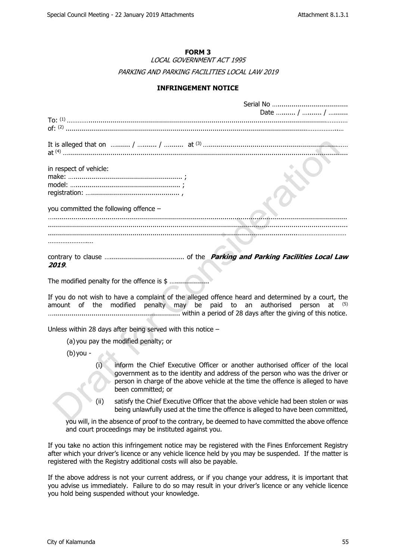#### **FORM 3**

*LOCAL GOVERNMENT ACT 1995 PARKING AND PARKING FACILITIES LOCAL LAW 2019*

#### **INFRINGEMENT NOTICE**

|                                                                                                                                                                                 | Date  /  / |
|---------------------------------------------------------------------------------------------------------------------------------------------------------------------------------|------------|
|                                                                                                                                                                                 |            |
| It is alleged that on $\ldots$ / $\ldots$ / $\ldots$ / $\ldots$ at $(3)$ $\ldots$ $\ldots$ $\ldots$ $\ldots$ $\ldots$ $\ldots$ $\ldots$ $\ldots$ $\ldots$ $\ldots$ $\ldots$     |            |
| in respect of vehicle:                                                                                                                                                          |            |
|                                                                                                                                                                                 |            |
| you committed the following offence $-$                                                                                                                                         |            |
|                                                                                                                                                                                 |            |
|                                                                                                                                                                                 |            |
|                                                                                                                                                                                 |            |
| 2019.                                                                                                                                                                           |            |
| The modified penalty for the offence is \$                                                                                                                                      |            |
| If you do not wish to have a complaint of the alleged offence heard and determined by a court, the<br>amount of the modified penalty may be paid to an authorised person at (5) |            |
| Unless within 28 days after being served with this notice $-$                                                                                                                   |            |
| (a) you pay the modified penalty; or                                                                                                                                            |            |
| $(b)$ you -                                                                                                                                                                     |            |
| (i) information Chief Executive Officers or prothers puthorized efficers of the legal                                                                                           |            |

- (i) inform the Chief Executive Officer or another authorised officer of the local government as to the identity and address of the person who was the driver or person in charge of the above vehicle at the time the offence is alleged to have been committed; or
- (ii) satisfy the Chief Executive Officer that the above vehicle had been stolen or was being unlawfully used at the time the offence is alleged to have been committed,

you will, in the absence of proof to the contrary, be deemed to have committed the above offence and court proceedings may be instituted against you.

If you take no action this infringement notice may be registered with the Fines Enforcement Registry after which your driver's licence or any vehicle licence held by you may be suspended. If the matter is registered with the Registry additional costs will also be payable.

If the above address is not your current address, or if you change your address, it is important that you advise us immediately. Failure to do so may result in your driver's licence or any vehicle licence you hold being suspended without your knowledge.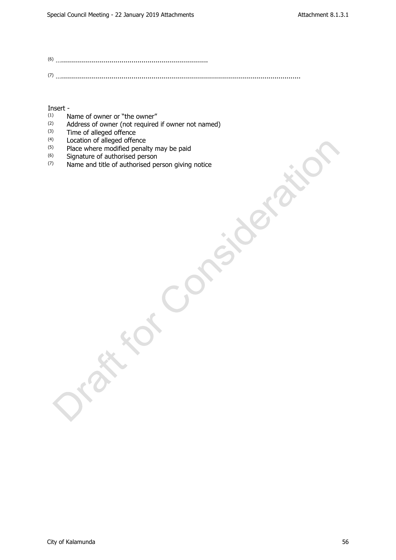(6) …………………………………………………………………………… (7) ….......................................................................................................................

# Insert -  $\binom{1}{1}$

- (1) Name of owner or "the owner"<br>(2)  $\Delta$ ddress of owner (not required
- (2) Address of owner (not required if owner not named)<br>(3) Time of alleged offence
- $^{(3)}$  Time of alleged offence<br> $^{(4)}$  Location of alleged offer
- Location of alleged offence
- <sup>(5)</sup> Place where modified penalty may be paid
- $^{(6)}$  Signature of authorised person<br> $^{(7)}$  Name and title of authorised per
- Name and title of authorised person giving notice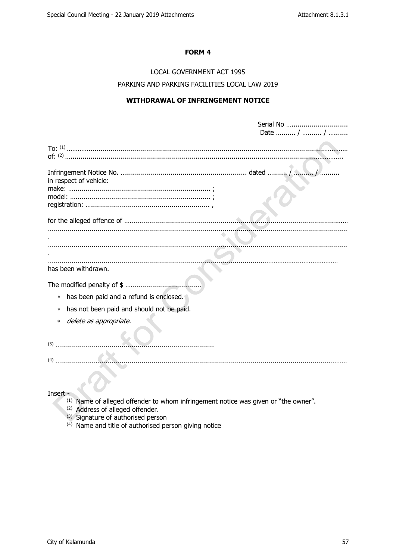#### FORM 4

## LOCAL GOVERNMENT ACT 1995 PARKING AND PARKING FACILITIES LOCAL LAW 2019

#### **WITHDRAWAL OF INFRINGEMENT NOTICE**

|                                           | Serial No<br>Date  /  / |
|-------------------------------------------|-------------------------|
|                                           |                         |
| in respect of vehicle:                    |                         |
|                                           |                         |
|                                           |                         |
|                                           |                         |
|                                           |                         |
| has been withdrawn.                       |                         |
|                                           |                         |
| has been paid and a refund is enclosed.   |                         |
| has not been paid and should not be paid. |                         |
| delete as appropriate.<br>$\ast$          |                         |
|                                           |                         |
| (3)                                       |                         |
| (4)                                       |                         |

#### Insert -

- (1) Name of alleged offender to whom infringement notice was given or "the owner".<br>(2) Address of alleged offender.
- 
- (3) Signature of authorised person
- <sup>(4)</sup> Name and title of authorised person giving notice